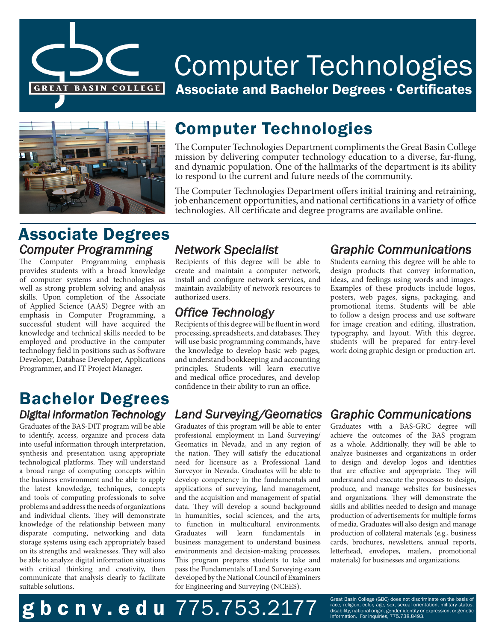

# Computer Technologies Associate and Bachelor Degrees . Certificates



# Computer Technologies

The Computer Technologies Department compliments the Great Basin College mission by delivering computer technology education to a diverse, far-flung, and dynamic population. One of the hallmarks of the department is its ability to respond to the current and future needs of the community.

The Computer Technologies Department offers initial training and retraining, job enhancement opportunities, and national certifications in a variety of office technologies. All certificate and degree programs are available online.

# Associate Degrees *Computer Programming*

The Computer Programming emphasis provides students with a broad knowledge of computer systems and technologies as well as strong problem solving and analysis skills. Upon completion of the Associate of Applied Science (AAS) Degree with an emphasis in Computer Programming, a successful student will have acquired the knowledge and technical skills needed to be employed and productive in the computer technology field in positions such as Software Developer, Database Developer, Applications Programmer, and IT Project Manager.

### Bachelor Degrees *Digital Information Technology*

Graduates of the BAS-DIT program will be able to identify, access, organize and process data into useful information through interpretation, synthesis and presentation using appropriate technological platforms. They will understand a broad range of computing concepts within the business environment and be able to apply the latest knowledge, techniques, concepts and tools of computing professionals to solve problems and address the needs of organizations and individual clients. They will demonstrate knowledge of the relationship between many disparate computing, networking and data storage systems using each appropriately based on its strengths and weaknesses. They will also be able to analyze digital information situations with critical thinking and creativity, then communicate that analysis clearly to facilitate suitable solutions.

### *Network Specialist*

Recipients of this degree will be able to create and maintain a computer network, install and configure network services, and maintain availability of network resources to authorized users.

### *Office Technology*

Recipients of this degree will be fluent in word processing, spreadsheets, and databases. They will use basic programming commands, have the knowledge to develop basic web pages, and understand bookkeeping and accounting principles. Students will learn executive and medical office procedures, and develop confidence in their ability to run an office.

### *Land Surveying/Geomatics*

Graduates of this program will be able to enter professional employment in Land Surveying/ Geomatics in Nevada, and in any region of the nation. They will satisfy the educational need for licensure as a Professional Land Surveyor in Nevada. Graduates will be able to develop competency in the fundamentals and applications of surveying, land management, and the acquisition and management of spatial data. They will develop a sound background in humanities, social sciences, and the arts, to function in multicultural environments. Graduates will learn fundamentals in business management to understand business environments and decision-making processes. This program prepares students to take and pass the Fundamentals of Land Surveying exam developed by the National Council of Examiners for Engineering and Surveying (NCEES).

### *Graphic Communications*

Students earning this degree will be able to design products that convey information, ideas, and feelings using words and images. Examples of these products include logos, posters, web pages, signs, packaging, and promotional items. Students will be able to follow a design process and use software for image creation and editing, illustration, typography, and layout. With this degree, students will be prepared for entry-level work doing graphic design or production art.

### *Graphic Communications*

Graduates with a BAS-GRC degree will achieve the outcomes of the BAS program as a whole. Additionally, they will be able to analyze businesses and organizations in order to design and develop logos and identities that are effective and appropriate. They will understand and execute the processes to design, produce, and manage websites for businesses and organizations. They will demonstrate the skills and abilities needed to design and manage production of advertisements for multiple forms of media. Graduates will also design and manage production of collateral materials (e.g., business cards, brochures, newsletters, annual reports, letterhead, envelopes, mailers, promotional materials) for businesses and organizations.

Great Basin College (GBC) does not discriminate on the basis of  $\boldsymbol{\mathsf{g}}$  b c n v . e d u  $775.75.38.2177$  disability, national origin, genetic disability, national origin, genetic genetic graph  $\mathcal{S}$  and  $\mathcal{S}$  and  $\mathcal{S}$  and  $\mathcal{S}$  and  $\mathcal{S}$  and  $\mathcal{S}$  and  $\mathcal{S}$  a